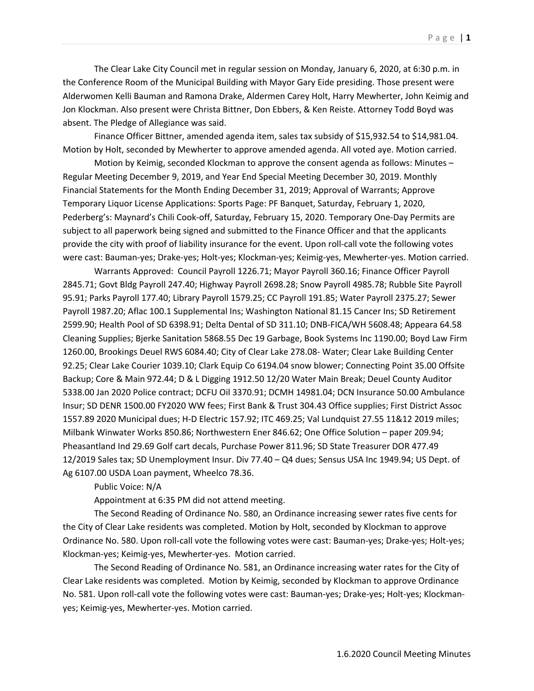The Clear Lake City Council met in regular session on Monday, January 6, 2020, at 6:30 p.m. in the Conference Room of the Municipal Building with Mayor Gary Eide presiding. Those present were Alderwomen Kelli Bauman and Ramona Drake, Aldermen Carey Holt, Harry Mewherter, John Keimig and Jon Klockman. Also present were Christa Bittner, Don Ebbers, & Ken Reiste. Attorney Todd Boyd was absent. The Pledge of Allegiance was said.

Finance Officer Bittner, amended agenda item, sales tax subsidy of \$15,932.54 to \$14,981.04. Motion by Holt, seconded by Mewherter to approve amended agenda. All voted aye. Motion carried.

Motion by Keimig, seconded Klockman to approve the consent agenda as follows: Minutes – Regular Meeting December 9, 2019, and Year End Special Meeting December 30, 2019. Monthly Financial Statements for the Month Ending December 31, 2019; Approval of Warrants; Approve Temporary Liquor License Applications: Sports Page: PF Banquet, Saturday, February 1, 2020, Pederberg's: Maynard's Chili Cook-off, Saturday, February 15, 2020. Temporary One-Day Permits are subject to all paperwork being signed and submitted to the Finance Officer and that the applicants provide the city with proof of liability insurance for the event. Upon roll-call vote the following votes were cast: Bauman-yes; Drake-yes; Holt-yes; Klockman-yes; Keimig-yes, Mewherter-yes. Motion carried.

Warrants Approved: Council Payroll 1226.71; Mayor Payroll 360.16; Finance Officer Payroll 2845.71; Govt Bldg Payroll 247.40; Highway Payroll 2698.28; Snow Payroll 4985.78; Rubble Site Payroll 95.91; Parks Payroll 177.40; Library Payroll 1579.25; CC Payroll 191.85; Water Payroll 2375.27; Sewer Payroll 1987.20; Aflac 100.1 Supplemental Ins; Washington National 81.15 Cancer Ins; SD Retirement 2599.90; Health Pool of SD 6398.91; Delta Dental of SD 311.10; DNB-FICA/WH 5608.48; Appeara 64.58 Cleaning Supplies; Bjerke Sanitation 5868.55 Dec 19 Garbage, Book Systems Inc 1190.00; Boyd Law Firm 1260.00, Brookings Deuel RWS 6084.40; City of Clear Lake 278.08- Water; Clear Lake Building Center 92.25; Clear Lake Courier 1039.10; Clark Equip Co 6194.04 snow blower; Connecting Point 35.00 Offsite Backup; Core & Main 972.44; D & L Digging 1912.50 12/20 Water Main Break; Deuel County Auditor 5338.00 Jan 2020 Police contract; DCFU Oil 3370.91; DCMH 14981.04; DCN Insurance 50.00 Ambulance Insur; SD DENR 1500.00 FY2020 WW fees; First Bank & Trust 304.43 Office supplies; First District Assoc 1557.89 2020 Municipal dues; H-D Electric 157.92; ITC 469.25; Val Lundquist 27.55 11&12 2019 miles; Milbank Winwater Works 850.86; Northwestern Ener 846.62; One Office Solution – paper 209.94; Pheasantland Ind 29.69 Golf cart decals, Purchase Power 811.96; SD State Treasurer DOR 477.49 12/2019 Sales tax; SD Unemployment Insur. Div 77.40 – Q4 dues; Sensus USA Inc 1949.94; US Dept. of Ag 6107.00 USDA Loan payment, Wheelco 78.36.

Public Voice: N/A

Appointment at 6:35 PM did not attend meeting.

The Second Reading of Ordinance No. 580, an Ordinance increasing sewer rates five cents for the City of Clear Lake residents was completed. Motion by Holt, seconded by Klockman to approve Ordinance No. 580. Upon roll-call vote the following votes were cast: Bauman-yes; Drake-yes; Holt-yes; Klockman-yes; Keimig-yes, Mewherter-yes. Motion carried.

The Second Reading of Ordinance No. 581, an Ordinance increasing water rates for the City of Clear Lake residents was completed. Motion by Keimig, seconded by Klockman to approve Ordinance No. 581. Upon roll-call vote the following votes were cast: Bauman-yes; Drake-yes; Holt-yes; Klockmanyes; Keimig-yes, Mewherter-yes. Motion carried.